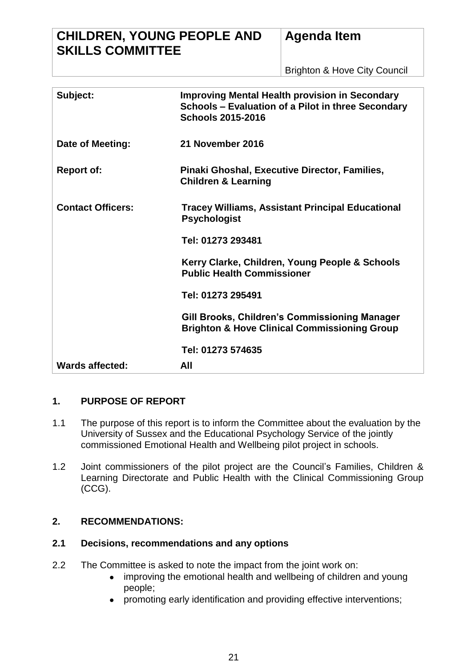# **CHILDREN, YOUNG PEOPLE AND SKILLS COMMITTEE**

Brighton & Hove City Council

| Subject:                 | <b>Improving Mental Health provision in Secondary</b><br>Schools - Evaluation of a Pilot in three Secondary<br><b>Schools 2015-2016</b> |
|--------------------------|-----------------------------------------------------------------------------------------------------------------------------------------|
| Date of Meeting:         | 21 November 2016                                                                                                                        |
| <b>Report of:</b>        | Pinaki Ghoshal, Executive Director, Families,<br><b>Children &amp; Learning</b>                                                         |
| <b>Contact Officers:</b> | <b>Tracey Williams, Assistant Principal Educational</b><br><b>Psychologist</b>                                                          |
|                          | Tel: 01273 293481                                                                                                                       |
|                          | Kerry Clarke, Children, Young People & Schools<br><b>Public Health Commissioner</b>                                                     |
|                          | Tel: 01273 295491                                                                                                                       |
|                          | Gill Brooks, Children's Commissioning Manager<br><b>Brighton &amp; Hove Clinical Commissioning Group</b>                                |
|                          | Tel: 01273 574635                                                                                                                       |
| <b>Wards affected:</b>   | All                                                                                                                                     |

# **1. PURPOSE OF REPORT**

- 1.1 The purpose of this report is to inform the Committee about the evaluation by the University of Sussex and the Educational Psychology Service of the jointly commissioned Emotional Health and Wellbeing pilot project in schools.
- 1.2 Joint commissioners of the pilot project are the Council's Families, Children & Learning Directorate and Public Health with the Clinical Commissioning Group (CCG).

## **2. RECOMMENDATIONS:**

# **2.1 Decisions, recommendations and any options**

- 2.2 The Committee is asked to note the impact from the joint work on:
	- improving the emotional health and wellbeing of children and young  $\bullet$ people;
	- promoting early identification and providing effective interventions;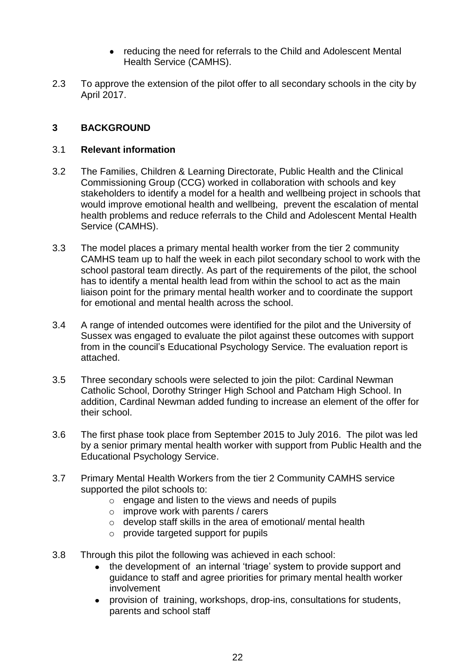- $\bullet$ reducing the need for referrals to the Child and Adolescent Mental Health Service (CAMHS).
- 2.3 To approve the extension of the pilot offer to all secondary schools in the city by April 2017.

# **3 BACKGROUND**

#### 3.1 **Relevant information**

- 3.2 The Families, Children & Learning Directorate, Public Health and the Clinical Commissioning Group (CCG) worked in collaboration with schools and key stakeholders to identify a model for a health and wellbeing project in schools that would improve emotional health and wellbeing, prevent the escalation of mental health problems and reduce referrals to the Child and Adolescent Mental Health Service (CAMHS).
- 3.3 The model places a primary mental health worker from the tier 2 community CAMHS team up to half the week in each pilot secondary school to work with the school pastoral team directly. As part of the requirements of the pilot, the school has to identify a mental health lead from within the school to act as the main liaison point for the primary mental health worker and to coordinate the support for emotional and mental health across the school.
- 3.4 A range of intended outcomes were identified for the pilot and the University of Sussex was engaged to evaluate the pilot against these outcomes with support from in the council's Educational Psychology Service. The evaluation report is attached.
- 3.5 Three secondary schools were selected to join the pilot: Cardinal Newman Catholic School, Dorothy Stringer High School and Patcham High School. In addition, Cardinal Newman added funding to increase an element of the offer for their school.
- 3.6 The first phase took place from September 2015 to July 2016. The pilot was led by a senior primary mental health worker with support from Public Health and the Educational Psychology Service.
- 3.7 Primary Mental Health Workers from the tier 2 Community CAMHS service supported the pilot schools to:
	- o engage and listen to the views and needs of pupils
	- $\circ$  improve work with parents / carers
	- o develop staff skills in the area of emotional/ mental health
	- o provide targeted support for pupils
- 3.8 Through this pilot the following was achieved in each school:
	- the development of an internal 'triage' system to provide support and guidance to staff and agree priorities for primary mental health worker involvement
	- provision of training, workshops, drop-ins, consultations for students, parents and school staff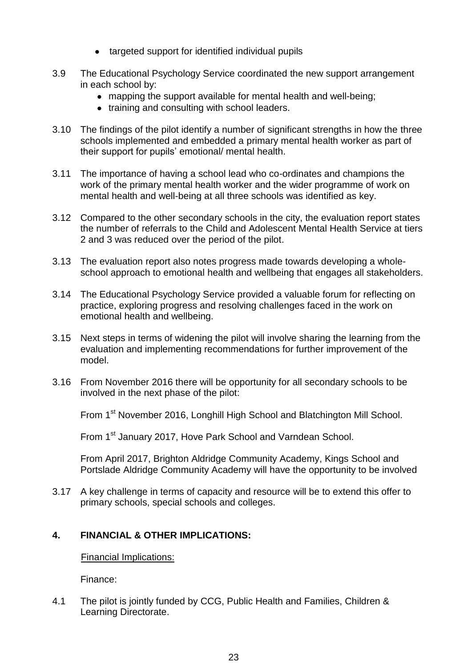- targeted support for identified individual pupils
- 3.9 The Educational Psychology Service coordinated the new support arrangement in each school by:
	- mapping the support available for mental health and well-being;
	- training and consulting with school leaders.
- 3.10 The findings of the pilot identify a number of significant strengths in how the three schools implemented and embedded a primary mental health worker as part of their support for pupils' emotional/ mental health.
- 3.11 The importance of having a school lead who co-ordinates and champions the work of the primary mental health worker and the wider programme of work on mental health and well-being at all three schools was identified as key.
- 3.12 Compared to the other secondary schools in the city, the evaluation report states the number of referrals to the Child and Adolescent Mental Health Service at tiers 2 and 3 was reduced over the period of the pilot.
- 3.13 The evaluation report also notes progress made towards developing a wholeschool approach to emotional health and wellbeing that engages all stakeholders.
- 3.14 The Educational Psychology Service provided a valuable forum for reflecting on practice, exploring progress and resolving challenges faced in the work on emotional health and wellbeing.
- 3.15 Next steps in terms of widening the pilot will involve sharing the learning from the evaluation and implementing recommendations for further improvement of the model.
- 3.16 From November 2016 there will be opportunity for all secondary schools to be involved in the next phase of the pilot:

From 1<sup>st</sup> November 2016, Longhill High School and Blatchington Mill School.

From 1<sup>st</sup> January 2017, Hove Park School and Varndean School.

From April 2017, Brighton Aldridge Community Academy, Kings School and Portslade Aldridge Community Academy will have the opportunity to be involved

3.17 A key challenge in terms of capacity and resource will be to extend this offer to primary schools, special schools and colleges.

# **4. FINANCIAL & OTHER IMPLICATIONS:**

Financial Implications:

Finance:

4.1 The pilot is jointly funded by CCG, Public Health and Families, Children & Learning Directorate.